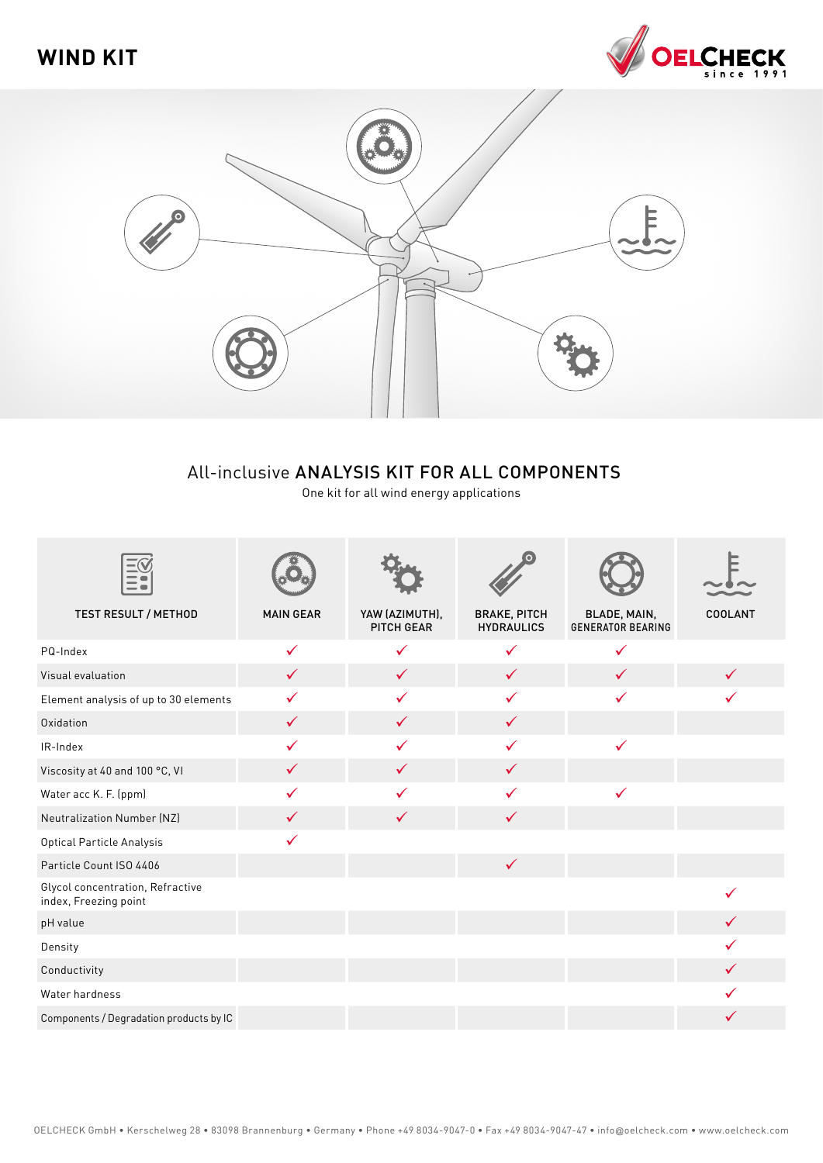



## All-inclusive ANALYSIS KIT FOR ALL COMPONENTS

One kit for all wind energy applications

| <b>TEST RESULT / METHOD</b>                               | <b>MAIN GEAR</b> | YAW (AZIMUTH),<br>PITCH GEAR | <b>BRAKE, PITCH</b><br><b>HYDRAULICS</b> | BLADE, MAIN,<br><b>GENERATOR BEARING</b> | <b>COOLANT</b> |
|-----------------------------------------------------------|------------------|------------------------------|------------------------------------------|------------------------------------------|----------------|
| PQ-Index                                                  | $\checkmark$     | $\checkmark$                 | $\checkmark$                             | $\checkmark$                             |                |
| Visual evaluation                                         | $\checkmark$     | $\checkmark$                 | $\checkmark$                             | ✓                                        |                |
| Element analysis of up to 30 elements                     | ✓                | ✓                            | ✓                                        | ✓                                        |                |
| Oxidation                                                 | $\checkmark$     | $\checkmark$                 | $\checkmark$                             |                                          |                |
| IR-Index                                                  | ✓                | ✓                            | ✓                                        | ✓                                        |                |
| Viscosity at 40 and 100 °C, VI                            | $\checkmark$     | $\checkmark$                 | $\checkmark$                             |                                          |                |
| Water acc K. F. (ppm)                                     | ✓                | ✓                            | ✓                                        | ✓                                        |                |
| Neutralization Number (NZ)                                | ✓                | ✓                            | ✓                                        |                                          |                |
| Optical Particle Analysis                                 | ✓                |                              |                                          |                                          |                |
| Particle Count ISO 4406                                   |                  |                              | $\checkmark$                             |                                          |                |
| Glycol concentration, Refractive<br>index, Freezing point |                  |                              |                                          |                                          |                |
| pH value                                                  |                  |                              |                                          |                                          |                |
| Density                                                   |                  |                              |                                          |                                          |                |
| Conductivity                                              |                  |                              |                                          |                                          | ✓              |
| Water hardness                                            |                  |                              |                                          |                                          |                |
| Components / Degradation products by IC                   |                  |                              |                                          |                                          |                |